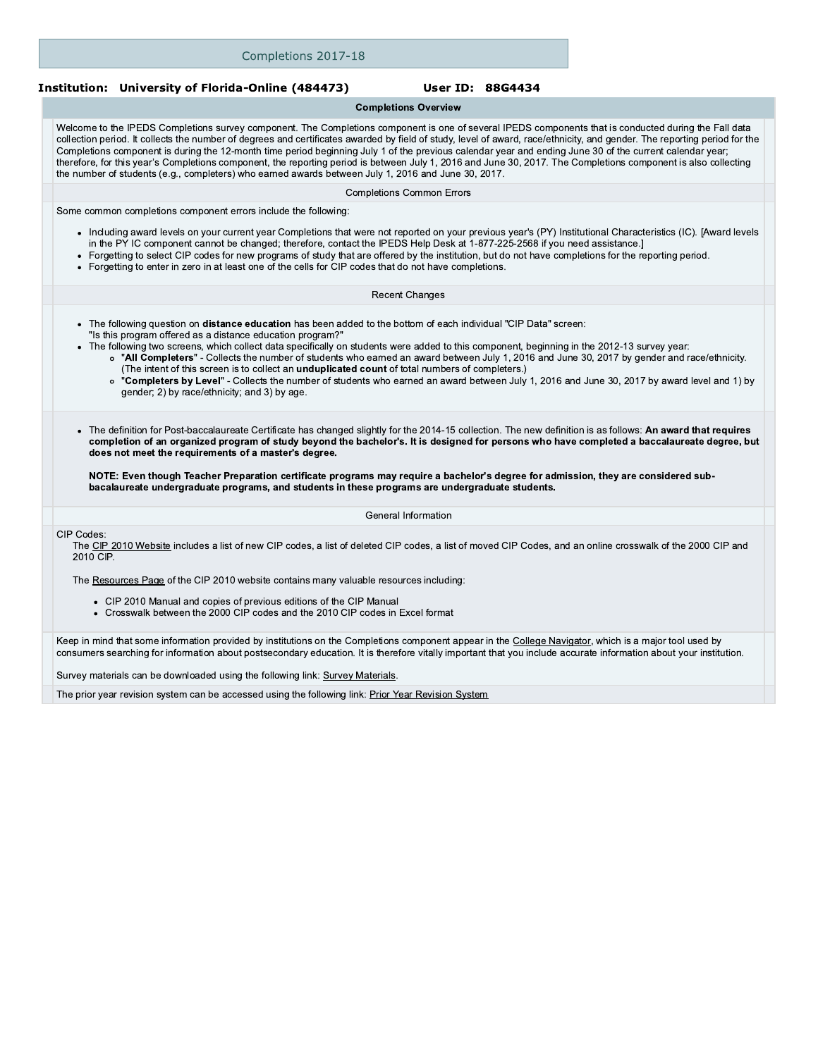| Completions 2017-18                                                                                                                                                                                                                                                                                                                                                                                                                                                                                                                                                                                                                                                                                                                                                                                |                                  |                  |  |
|----------------------------------------------------------------------------------------------------------------------------------------------------------------------------------------------------------------------------------------------------------------------------------------------------------------------------------------------------------------------------------------------------------------------------------------------------------------------------------------------------------------------------------------------------------------------------------------------------------------------------------------------------------------------------------------------------------------------------------------------------------------------------------------------------|----------------------------------|------------------|--|
| Institution: University of Florida-Online (484473)                                                                                                                                                                                                                                                                                                                                                                                                                                                                                                                                                                                                                                                                                                                                                 |                                  | User ID: 88G4434 |  |
|                                                                                                                                                                                                                                                                                                                                                                                                                                                                                                                                                                                                                                                                                                                                                                                                    | <b>Completions Overview</b>      |                  |  |
| Welcome to the IPEDS Completions survey component. The Completions component is one of several IPEDS components that is conducted during the Fall data<br>collection period. It collects the number of degrees and certificates awarded by field of study, level of award, race/ethnicity, and gender. The reporting period for the<br>Completions component is during the 12-month time period beginning July 1 of the previous calendar year and ending June 30 of the current calendar year;<br>therefore, for this year's Completions component, the reporting period is between July 1, 2016 and June 30, 2017. The Completions component is also collecting<br>the number of students (e.g., completers) who earned awards between July 1, 2016 and June 30, 2017.                           |                                  |                  |  |
|                                                                                                                                                                                                                                                                                                                                                                                                                                                                                                                                                                                                                                                                                                                                                                                                    | <b>Completions Common Errors</b> |                  |  |
| Some common completions component errors include the following:                                                                                                                                                                                                                                                                                                                                                                                                                                                                                                                                                                                                                                                                                                                                    |                                  |                  |  |
| • Including award levels on your current year Completions that were not reported on your previous year's (PY) Institutional Characteristics (IC). [Award levels<br>in the PY IC component cannot be changed; therefore, contact the IPEDS Help Desk at 1-877-225-2568 if you need assistance.]<br>Forgetting to select CIP codes for new programs of study that are offered by the institution, but do not have completions for the reporting period.<br>Forgetting to enter in zero in at least one of the cells for CIP codes that do not have completions.<br>$\bullet$                                                                                                                                                                                                                         |                                  |                  |  |
|                                                                                                                                                                                                                                                                                                                                                                                                                                                                                                                                                                                                                                                                                                                                                                                                    | <b>Recent Changes</b>            |                  |  |
| • The following question on <b>distance education</b> has been added to the bottom of each individual "CIP Data" screen:<br>"Is this program offered as a distance education program?"<br>• The following two screens, which collect data specifically on students were added to this component, beginning in the 2012-13 survey year:<br>o "All Completers" - Collects the number of students who earned an award between July 1, 2016 and June 30, 2017 by gender and race/ethnicity.<br>(The intent of this screen is to collect an <i>unduplicated count</i> of total numbers of completers.)<br>o "Completers by Level" - Collects the number of students who earned an award between July 1, 2016 and June 30, 2017 by award level and 1) by<br>gender; 2) by race/ethnicity; and 3) by age. |                                  |                  |  |
| • The definition for Post-baccalaureate Certificate has changed slightly for the 2014-15 collection. The new definition is as follows: An award that requires<br>completion of an organized program of study beyond the bachelor's. It is designed for persons who have completed a baccalaureate degree, but<br>does not meet the requirements of a master's degree.                                                                                                                                                                                                                                                                                                                                                                                                                              |                                  |                  |  |
| NOTE: Even though Teacher Preparation certificate programs may require a bachelor's degree for admission, they are considered sub-<br>bacalaureate undergraduate programs, and students in these programs are undergraduate students.                                                                                                                                                                                                                                                                                                                                                                                                                                                                                                                                                              |                                  |                  |  |
|                                                                                                                                                                                                                                                                                                                                                                                                                                                                                                                                                                                                                                                                                                                                                                                                    | General Information              |                  |  |
| CIP Codes:<br>The CIP 2010 Website includes a list of new CIP codes, a list of deleted CIP codes, a list of moved CIP Codes, and an online crosswalk of the 2000 CIP and<br>2010 CIP.                                                                                                                                                                                                                                                                                                                                                                                                                                                                                                                                                                                                              |                                  |                  |  |
| The Resources Page of the CIP 2010 website contains many valuable resources including:                                                                                                                                                                                                                                                                                                                                                                                                                                                                                                                                                                                                                                                                                                             |                                  |                  |  |
| • CIP 2010 Manual and copies of previous editions of the CIP Manual<br>• Crosswalk between the 2000 CIP codes and the 2010 CIP codes in Excel format                                                                                                                                                                                                                                                                                                                                                                                                                                                                                                                                                                                                                                               |                                  |                  |  |
| Keep in mind that some information provided by institutions on the Completions component appear in the College Navigator, which is a major tool used by<br>consumers searching for information about postsecondary education. It is therefore vitally important that you include accurate information about your institution.                                                                                                                                                                                                                                                                                                                                                                                                                                                                      |                                  |                  |  |

Survey materials can be downloaded using the following link: Survey Materials.

The prior year revision system can be accessed using the following link: Prior Year Revision System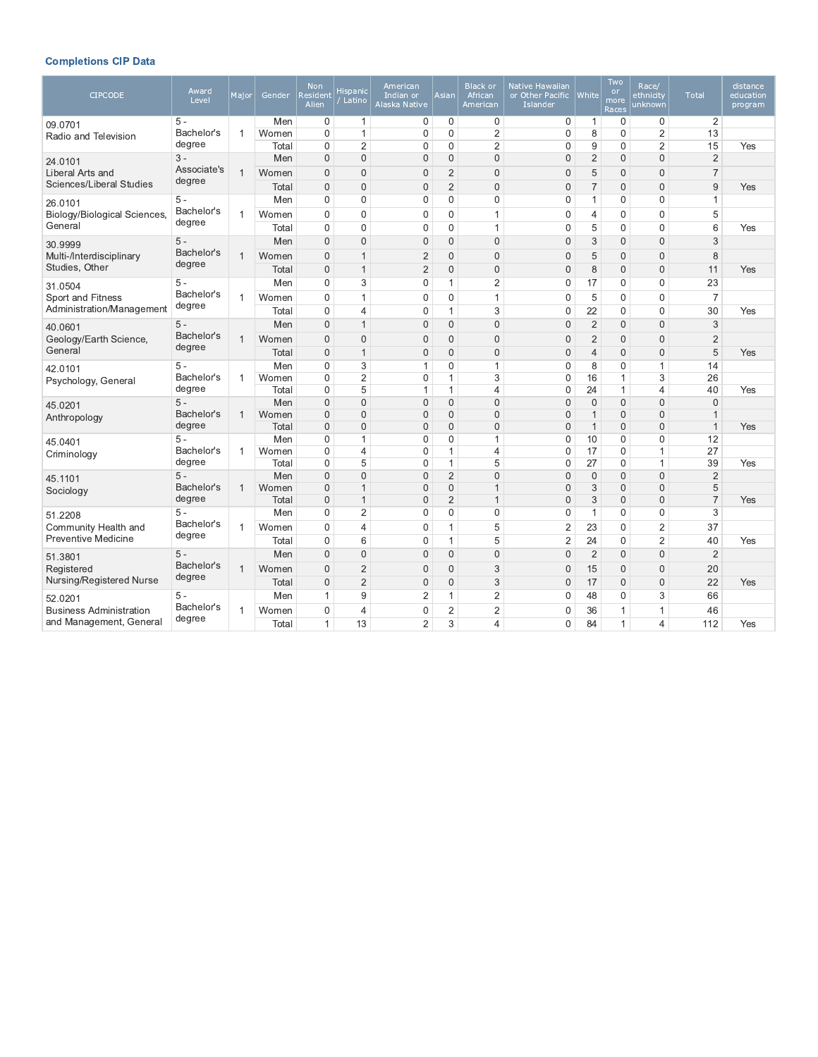# **Completions CIP Data**

| <b>CIPCODE</b>                               | Award<br>Level                | Major          | Gender         | <b>Non</b><br>Resident<br>Alien | Hispanic<br>Latino          | American<br>Indian or<br>Alaska Native | <b>Asian</b>                 | <b>Black or</b><br>African<br>American | Native Hawaiian<br>or Other Pacific<br>Islander | White                        | Two<br><b>or</b><br>more<br>Races | Race/<br>ethnicity<br>unknown | Total                        | distance<br>education<br>program |
|----------------------------------------------|-------------------------------|----------------|----------------|---------------------------------|-----------------------------|----------------------------------------|------------------------------|----------------------------------------|-------------------------------------------------|------------------------------|-----------------------------------|-------------------------------|------------------------------|----------------------------------|
| 09.0701                                      | 5 -                           |                | Men            | 0                               | $\mathbf{1}$                | 0                                      | 0                            | $\mathbf 0$                            | 0                                               | $\mathbf{1}$                 | 0                                 | 0                             | 2                            |                                  |
| Radio and Television                         | Bachelor's                    | 1              | Women          | $\mathbf 0$                     | $\mathbf{1}$                | $\mathbf 0$                            | $\mathbf{0}$                 | $\overline{2}$                         | $\mathbf 0$                                     | 8                            | $\mathbf 0$                       | $\overline{2}$                | 13                           |                                  |
|                                              | degree                        |                | Total          | $\mathbf 0$                     | $\overline{2}$              | $\mathbf 0$                            | $\mathbf{0}$                 | 2                                      | 0                                               | 9                            | $\mathbf 0$                       | $\overline{c}$                | 15                           | Yes                              |
| 24.0101                                      | $3 -$<br>Associate's          |                | Men            | $\mathbf 0$                     | $\mathbf{0}$                | $\mathbf{0}$                           | $\mathbf{0}$                 | $\mathbf{0}$                           | 0                                               | $\overline{2}$               | $\mathbf{0}$                      | $\mathbf{0}$                  | $\overline{2}$               |                                  |
| Liberal Arts and<br>Sciences/Liberal Studies | degree                        | $\overline{1}$ | Women          | $\overline{0}$                  | $\Omega$                    | $\overline{0}$                         | $\overline{2}$               | $\overline{0}$                         | 0                                               | 5                            | $\mathbf{0}$                      | $\Omega$                      | $\overline{7}$               |                                  |
|                                              |                               |                | Total          | $\overline{0}$                  | $\mathbf{0}$                | $\mathbf{0}$                           | 2                            | $\mathbf{0}$                           | 0                                               | $\overline{7}$               | $\mathbf{0}$                      | $\mathbf{0}$                  | 9                            | Yes                              |
| 26.0101                                      | $5 -$<br>Bachelor's           |                | Men            | 0                               | $\mathbf{0}$                | $\mathbf 0$                            | $\mathbf{0}$                 | $\mathbf{0}$                           | 0                                               | 1                            | $\mathbf 0$                       | $\mathbf 0$                   | $\mathbf 1$                  |                                  |
| Biology/Biological Sciences,<br>General      | degree                        | 1              | Women          | $\mathbf{0}$                    | $\mathbf{0}$                | 0                                      | $\mathbf 0$                  | $\mathbf{1}$                           | $\mathbf 0$                                     | 4                            | $\mathbf 0$                       | $\mathbf 0$                   | 5                            |                                  |
|                                              |                               |                | Total          | $\Omega$                        | $\mathbf 0$                 | $\mathbf 0$                            | $\mathbf{0}$                 | 1                                      | $\mathbf 0$                                     | 5                            | $\mathbf{0}$                      | $\mathbf 0$                   | 6                            | Yes                              |
| 30.9999                                      | $5 -$<br>Bachelor's           |                | Men            | $\mathbf{0}$                    | $\mathbf{0}$                | $\mathbf 0$                            | $\mathbf{0}$                 | $\overline{0}$                         | 0                                               | 3                            | $\mathbf{0}$                      | $\overline{0}$                | 3                            |                                  |
| Multi-/Interdisciplinary                     | degree                        | $\mathbf{1}$   | Women          | $\mathbf{0}$                    | $\mathbf{1}$                | $\overline{2}$                         | $\mathbf 0$                  | $\overline{0}$                         | 0                                               | 5                            | $\mathbf{0}$                      | $\mathbf{0}$                  | 8                            |                                  |
| Studies, Other                               |                               |                | Total          | $\overline{0}$                  | $\mathbf{1}$                | $\overline{2}$                         | $\mathbf 0$                  | $\overline{0}$                         | $\overline{0}$                                  | 8                            | $\mathbf{0}$                      | $\overline{0}$                | 11                           | Yes                              |
| 31.0504                                      | $5 -$                         |                | Men            | $\mathbf 0$                     | 3                           | $\mathbf{0}$                           | $\mathbf{1}$                 | 2                                      | $\boldsymbol{0}$                                | 17                           | $\mathbf 0$                       | $\mathbf 0$                   | 23                           |                                  |
| Sport and Fitness                            | Bachelor's<br>degree          | $\mathbf 1$    | Women          | $\mathbf{0}$                    | $\mathbf{1}$                | $\overline{0}$                         | $\mathbf{0}$                 | $\mathbf{1}$                           | $\mathbf 0$                                     | 5                            | $\mathbf{0}$                      | $\mathbf 0$                   | $\overline{7}$               |                                  |
| Administration/Management                    |                               |                | Total          | $\Omega$                        | $\overline{4}$              | $\mathbf{0}$                           | $\mathbf{1}$                 | 3                                      | $\mathbf 0$                                     | 22                           | $\mathbf{0}$                      | $\Omega$                      | 30                           | Yes                              |
| 40.0601                                      | $5 -$<br>Bachelor's<br>degree |                | Men            | $\Omega$                        | $\mathbf{1}$                | $\overline{0}$                         | $\mathbf{0}$                 | $\overline{0}$                         | 0                                               | $\overline{2}$               | $\mathbf{0}$                      | $\Omega$                      | 3                            |                                  |
| Geology/Earth Science,                       |                               | $\mathbf{1}$   | Women          | $\overline{0}$                  | $\mathbf{0}$                | $\overline{0}$                         | $\mathbf{0}$                 | $\mathbf{0}$                           | 0                                               | $\overline{2}$               | $\mathbf 0$                       | $\overline{0}$                | $\overline{2}$               |                                  |
| General                                      |                               |                | Total          | $\overline{0}$                  | $\mathbf{1}$                | $\overline{0}$                         | $\mathbf{0}$                 | $\overline{0}$                         | $\overline{0}$                                  | $\overline{4}$               | $\mathbf{0}$                      | $\Omega$                      | 5                            | Yes                              |
| 42.0101                                      | $5 -$<br>Bachelor's           |                | Men            | $\mathbf 0$                     | 3                           | $\mathbf{1}$                           | $\mathbf{0}$                 | 1                                      | $\boldsymbol{0}$                                | 8                            | $\boldsymbol{0}$                  | $\mathbf{1}$                  | 14                           |                                  |
| Psychology, General                          |                               | $\mathbf 1$    | Women          | 0                               | 2                           | $\mathbf 0$                            | $\mathbf{1}$                 | 3                                      | $\mathbf 0$                                     | 16                           | $\mathbf{1}$                      | 3                             | 26                           |                                  |
|                                              | degree                        |                | Total          | $\Omega$                        | 5                           | $\mathbf{1}$                           | $\mathbf{1}$                 | $\overline{4}$                         | $\mathbf 0$                                     | 24                           | $\mathbf{1}$                      | $\overline{4}$                | 40                           | Yes                              |
| 45.0201                                      | $5 -$<br>Bachelor's           | $\mathbf{1}$   | Men            | $\mathbf{0}$<br>$\Omega$        | $\mathbf{0}$<br>$\mathbf 0$ | $\mathbf{0}$<br>$\overline{0}$         | $\mathbf{0}$<br>$\mathbf{0}$ | $\overline{0}$<br>$\overline{0}$       | $\mathbf{0}$                                    | $\mathbf{0}$                 | $\mathbf{0}$<br>$\mathbf{0}$      | $\mathbf{0}$<br>$\Omega$      | $\mathbf{0}$<br>$\mathbf{1}$ |                                  |
| Anthropology                                 | degree                        |                | Women<br>Total | $\overline{0}$                  | $\mathbf{0}$                | $\overline{0}$                         | $\mathbf{0}$                 | $\overline{0}$                         | 0<br>$\overline{0}$                             | $\mathbf{1}$<br>$\mathbf{1}$ | $\mathbf{0}$                      | $\Omega$                      | $\mathbf{1}$                 | Yes                              |
|                                              | $5 -$                         |                | Men            | 0                               | $\mathbf 1$                 | $\mathbf{0}$                           | $\mathbf{0}$                 | 1                                      | $\mathbf{0}$                                    | 10                           | $\Omega$                          | $\mathbf{0}$                  | 12                           |                                  |
| 45.0401<br>Criminology                       | Bachelor's                    | $\mathbf{1}$   | Women          | 0                               | $\overline{4}$              | 0                                      | $\mathbf{1}$                 | $\overline{4}$                         | 0                                               | 17                           | $\mathbf 0$                       | $\mathbf{1}$                  | 27                           |                                  |
|                                              | degree                        |                | Total          | 0                               | 5                           | $\mathbf{0}$                           | $\mathbf{1}$                 | 5                                      | $\mathbf{0}$                                    | 27                           | $\mathbf{0}$                      | $\mathbf{1}$                  | 39                           | Yes                              |
| 45.1101                                      | $5 -$                         |                | Men            | $\Omega$                        | $\Omega$                    | $\overline{0}$                         | $\overline{2}$               | $\overline{0}$                         | $\overline{0}$                                  | $\mathbf 0$                  | $\mathbf 0$                       | $\Omega$                      | $\overline{2}$               |                                  |
| Sociology                                    | Bachelor's                    | $\mathbf{1}$   | Women          | $\mathbf{0}$                    | $\mathbf{1}$                | $\mathbf 0$                            | $\mathbf 0$                  | $\mathbf{1}$                           | 0                                               | 3                            | $\mathbf 0$                       | $\mathbf{0}$                  | 5                            |                                  |
|                                              | degree                        |                | Total          | $\mathbf 0$                     | $\mathbf{1}$                | $\mathbf 0$                            | $\overline{2}$               | $\mathbf{1}$                           | 0                                               | 3                            | $\mathbf 0$                       | $\overline{0}$                | $\overline{7}$               | Yes                              |
| 51.2208                                      | $5 -$                         |                | Men            | $\Omega$                        | $\overline{2}$              | $\mathbf 0$                            | $\mathbf{0}$                 | $\mathbf 0$                            | $\mathbf 0$                                     | $\mathbf{1}$                 | $\mathbf{0}$                      | $\Omega$                      | 3                            |                                  |
| Community Health and                         | Bachelor's                    | $\overline{1}$ | Women          | $\Omega$                        | $\overline{4}$              | $\mathbf 0$                            | $\mathbf{1}$                 | 5                                      | $\overline{2}$                                  | 23                           | $\mathbf 0$                       | $\overline{2}$                | 37                           |                                  |
| <b>Preventive Medicine</b>                   | degree                        |                | Total          | $\Omega$                        | 6                           | $\mathbf 0$                            | $\mathbf{1}$                 | 5                                      | $\overline{2}$                                  | 24                           | $\mathbf 0$                       | $\overline{2}$                | 40                           | Yes                              |
| 51.3801                                      | $5 -$                         |                | Men            | $\Omega$                        | $\Omega$                    | $\mathbf{0}$                           | $\mathbf{0}$                 | $\Omega$                               | $\mathbf{0}$                                    | $\overline{2}$               | $\Omega$                          | $\Omega$                      | $\overline{2}$               |                                  |
| Registered                                   | Bachelor's                    | $\mathbf 1$    | Women          | $\Omega$                        | $\overline{2}$              | $\overline{0}$                         | $\mathbf{0}$                 | 3                                      | 0                                               | 15                           | $\mathbf{0}$                      | $\Omega$                      | 20                           |                                  |
| Nursing/Registered Nurse                     | degree                        |                | Total          | $\mathbf 0$                     | 2                           | $\mathbf{0}$                           | $\mathbf{0}$                 | 3                                      | $\mathbf{0}$                                    | 17                           | $\mathbf{0}$                      | $\mathbf 0$                   | 22                           | Yes                              |
| 52.0201                                      | 5 -                           |                | Men            | 1                               | $9\,$                       | $\overline{2}$                         | $\mathbf{1}$                 | 2                                      | $\mathbf 0$                                     | 48                           | 0                                 | 3                             | 66                           |                                  |
| <b>Business Administration</b>               | Bachelor's                    |                | Women          | $\mathbf{0}$                    | $\overline{4}$              | $\mathbf 0$                            | 2                            | 2                                      | 0                                               | 36                           | $\mathbf{1}$                      | 1                             | 46                           |                                  |
| and Management, General                      | degree                        |                | Total          | 1                               | 13                          | $\overline{2}$                         | 3                            | 4                                      | $\mathbf 0$                                     | 84                           | $\mathbf{1}$                      | $\overline{4}$                | 112                          | Yes                              |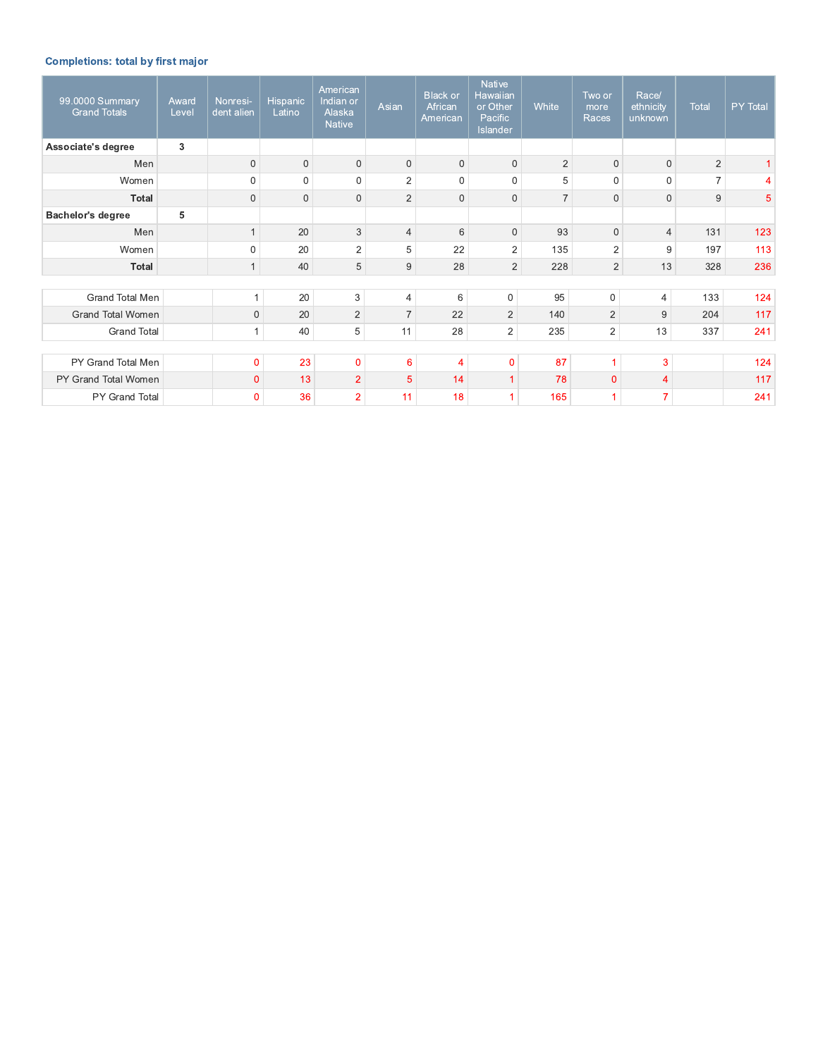## **Completions: total by first major**

| 99.0000 Summary<br><b>Grand Totals</b> | Award<br>Level | Nonresi-<br>dent alien | Hispanic<br>Latino | American<br>Indian or<br>Alaska<br><b>Native</b> | Asian           | <b>Black or</b><br>African<br>American | <b>Native</b><br>Hawaiian<br>or Other<br>Pacific<br>Islander | <b>White</b>   | Two or<br>more<br>Races | Race/<br>ethnicity<br>unknown | Total          | PY Total |
|----------------------------------------|----------------|------------------------|--------------------|--------------------------------------------------|-----------------|----------------------------------------|--------------------------------------------------------------|----------------|-------------------------|-------------------------------|----------------|----------|
| Associate's degree                     | 3              |                        |                    |                                                  |                 |                                        |                                                              |                |                         |                               |                |          |
| Men                                    |                | $\mathbf{0}$           | $\mathbf{0}$       | $\mathbf 0$                                      | $\mathbf 0$     | $\mathbf 0$                            | $\mathbf{0}$                                                 | $\overline{2}$ | $\Omega$                | $\Omega$                      | $\overline{2}$ |          |
| Women                                  |                | $\mathbf{0}$           | $\mathbf 0$        | $\mathbf 0$                                      | $\overline{2}$  | $\overline{0}$                         | $\mathbf 0$                                                  | 5              | $\mathbf 0$             | 0                             | $\overline{7}$ | 4        |
| Total                                  |                | $\mathbf{0}$           | $\mathbf 0$        | $\mathbf 0$                                      | $\overline{2}$  | $\mathbf{0}$                           | $\mathbf 0$                                                  | $\overline{7}$ | $\overline{0}$          | $\mathbf{0}$                  | 9              | 5        |
| <b>Bachelor's degree</b>               | 5              |                        |                    |                                                  |                 |                                        |                                                              |                |                         |                               |                |          |
| Men                                    |                |                        | 20                 | 3                                                | $\overline{4}$  | 6                                      | $\mathbf 0$                                                  | 93             | $\overline{0}$          | $\overline{4}$                | 131            | 123      |
| Women                                  |                | $\Omega$               | 20                 | 2                                                | 5               | 22                                     | $\overline{a}$                                               | 135            | $\overline{2}$          | 9                             | 197            | 113      |
| Total                                  |                |                        | 40                 | 5                                                | 9               | 28                                     | $\overline{2}$                                               | 228            | $\overline{2}$          | 13                            | 328            | 236      |
|                                        |                |                        |                    |                                                  |                 |                                        |                                                              |                |                         |                               |                |          |
| Grand Total Men                        |                | 1                      | 20                 | 3                                                | 4               | 6                                      | $\mathbf{0}$                                                 | 95             | $\mathbf{0}$            | $\overline{4}$                | 133            | 124      |
| <b>Grand Total Women</b>               |                | $\mathbf 0$            | 20                 | $\overline{2}$                                   | $\overline{7}$  | 22                                     | $\overline{2}$                                               | 140            | $\overline{2}$          | 9                             | 204            | 117      |
| <b>Grand Total</b>                     |                | $\mathbf{1}$           | 40                 | 5                                                | 11              | 28                                     | $\overline{2}$                                               | 235            | 2                       | 13                            | 337            | 241      |
|                                        |                |                        |                    |                                                  |                 |                                        |                                                              |                |                         |                               |                |          |
| PY Grand Total Men                     |                | $\overline{0}$         | 23                 | $\overline{0}$                                   | $6\phantom{1}6$ | 4                                      | $\mathbf{0}$                                                 | 87             | 1                       | 3                             |                | 124      |
| PY Grand Total Women                   |                | $\overline{0}$         | 13                 | $\overline{2}$                                   | 5               | 14                                     | 1                                                            | 78             | $\mathbf{0}$            | 4                             |                | 117      |
| PY Grand Total                         |                | $\Omega$               | 36                 | $\overline{2}$                                   | 11              | 18                                     |                                                              | 165            |                         | 7                             |                | 241      |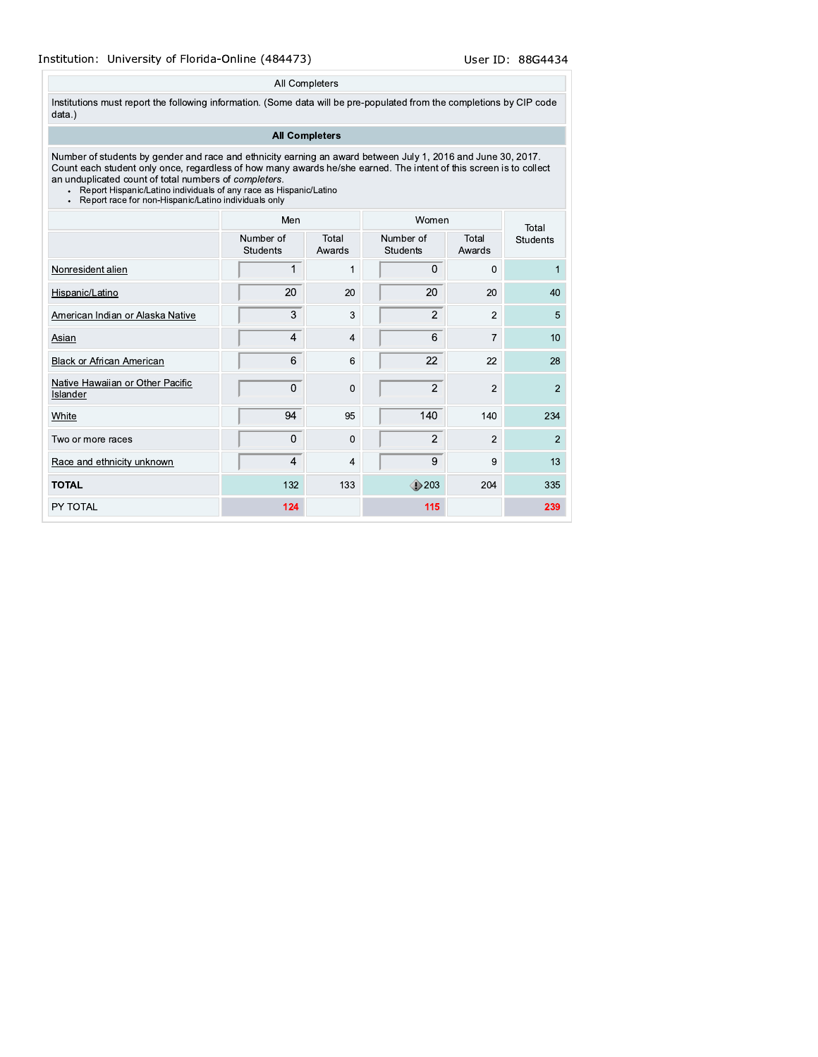### All Completers

Institutions must report the following information. (Some data will be pre-populated from the completions by CIP code data.)

## **All Completers**

Number of students by gender and race and ethnicity earning an award between July 1, 2016 and June 30, 2017.<br>Count each student only once, regardless of how many awards he/she earned. The intent of this screen is to collec an unduplicated count of total numbers of *completers*.<br>
Report Hispanic/Latino individuals of any race as Hispanic/Latino<br>
Report race for non-Hispanic/Latino individuals only

- 
- 

|                                              | Men                          |                 | Women                        | Total           |                 |
|----------------------------------------------|------------------------------|-----------------|------------------------------|-----------------|-----------------|
|                                              | Number of<br><b>Students</b> | Total<br>Awards | Number of<br><b>Students</b> | Total<br>Awards | <b>Students</b> |
| Nonresident alien                            |                              | $\mathbf 1$     | 0                            | $\mathbf 0$     |                 |
| Hispanic/Latino                              | 20                           | 20              | 20                           | 20              | 40              |
| American Indian or Alaska Native             | 3                            | 3               | $\overline{2}$               | $\overline{2}$  | 5               |
| <b>Asian</b>                                 | 4                            | $\overline{4}$  | 6                            | $\overline{7}$  | 10              |
| <b>Black or African American</b>             | 6                            | 6               | 22                           | 22              | 28              |
| Native Hawaiian or Other Pacific<br>Islander | 0                            | $\Omega$        | $\overline{2}$               | $\overline{2}$  | $\overline{2}$  |
| White                                        | 94                           | 95              | 140                          | 140             | 234             |
| Two or more races                            | 0                            | $\mathbf{0}$    | $\overline{2}$               | $\overline{2}$  | $\overline{2}$  |
| Race and ethnicity unknown                   | 4                            | 4               | 9                            | 9               | 13              |
| <b>TOTAL</b>                                 | 132                          | 133             | $\bigcirc$ 203               | 204             | 335             |
| PY TOTAL                                     | 124                          |                 | 115                          |                 | 239             |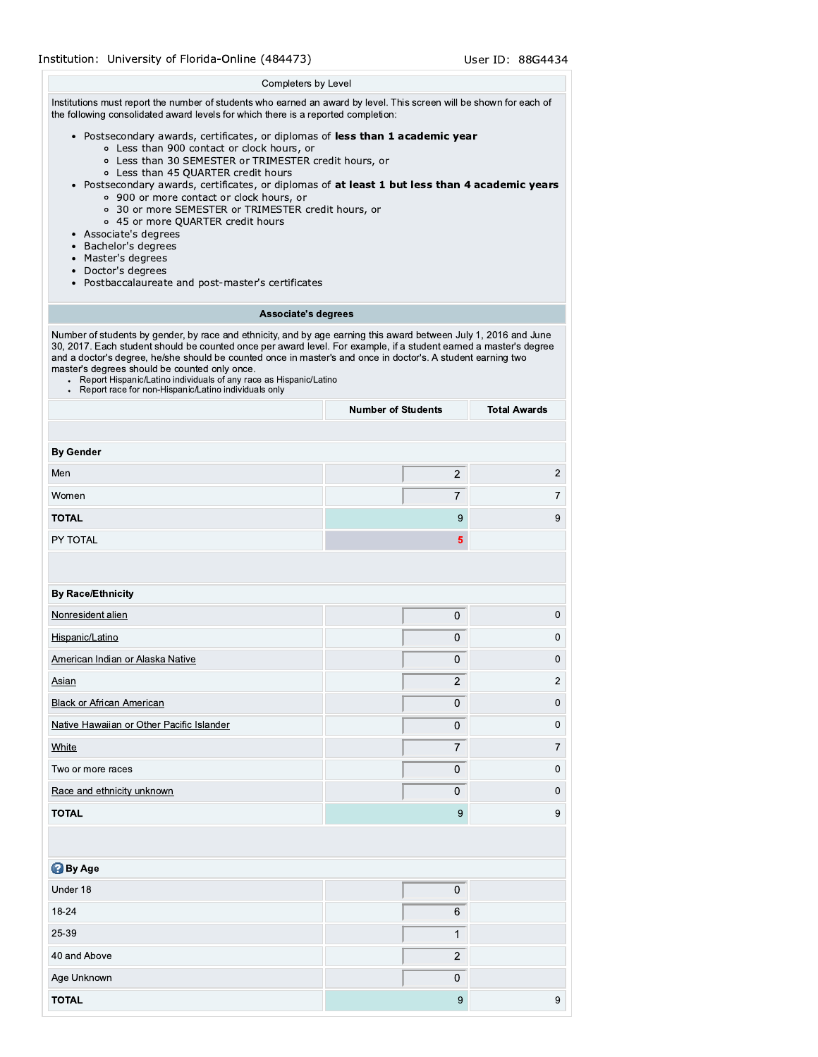## Institution: University of Florida-Online (484473)

#### Completers by Level

Institutions must report the number of students who earned an award by level. This screen will be shown for each of the following consolidated award levels for which there is a reported completion:

- · Postsecondary awards, certificates, or diplomas of less than 1 academic year
	- o Less than 900 contact or clock hours, or
	- o Less than 30 SEMESTER or TRIMESTER credit hours, or
	- o Less than 45 QUARTER credit hours
- . Postsecondary awards, certificates, or diplomas of at least 1 but less than 4 academic years ○ 900 or more contact or clock hours, or
	- o 30 or more SEMESTER or TRIMESTER credit hours, or
	- o 45 or more QUARTER credit hours
- Associate's degrees
- Bachelor's degrees
- Master's degrees
- Doctor's degrees
- Postbaccalaureate and post-master's certificates

#### Associate's degrees

Number of students by gender, by race and ethnicity, and by age earning this award between July 1, 2016 and June 30, 2017. Each student should be counted once per award level. For example, if a student earned a master's degree and a doctor's degree, he/she should be counted once in master's and once in doctor's. A student earning two master's degrees should be counted only once.

- Report Hispanic/Latino individuals of any race as Hispanic/Latino
- Report race for non-Hispanic/Latino individuals only

|                                           | <b>Number of Students</b> | <b>Total Awards</b> |  |
|-------------------------------------------|---------------------------|---------------------|--|
|                                           |                           |                     |  |
| <b>By Gender</b>                          |                           |                     |  |
| Men                                       | $\overline{2}$            | $\sqrt{2}$          |  |
| Women                                     | $\overline{7}$            | $\boldsymbol{7}$    |  |
| <b>TOTAL</b>                              | 9                         | $\boldsymbol{9}$    |  |
| PY TOTAL                                  | $\overline{\mathbf{5}}$   |                     |  |
|                                           |                           |                     |  |
| <b>By Race/Ethnicity</b>                  |                           |                     |  |
| Nonresident alien                         | $\pmb{0}$                 | $\,0\,$             |  |
| Hispanic/Latino                           | 0                         | $\boldsymbol{0}$    |  |
| American Indian or Alaska Native          | 0                         | $\mathbf 0$         |  |
| Asian                                     | $\overline{2}$            | $\overline{2}$      |  |
| <b>Black or African American</b>          | 0                         | $\,0\,$             |  |
| Native Hawaiian or Other Pacific Islander | $\mathsf 0$               | $\,0\,$             |  |
| White                                     | $\overline{7}$            | $\overline{7}$      |  |
| Two or more races                         | 0                         | $\mathbf 0$         |  |
| Race and ethnicity unknown                | 0                         | $\pmb{0}$           |  |
| <b>TOTAL</b>                              | 9                         | 9                   |  |
|                                           |                           |                     |  |
| <b>By Age</b>                             |                           |                     |  |
| Under 18                                  | $\pmb{0}$                 |                     |  |
| 18-24                                     | 6                         |                     |  |
| 25-39                                     | $\mathbf{1}$              |                     |  |
| 40 and Above                              | $\boldsymbol{2}$          |                     |  |
| Age Unknown                               | 0                         |                     |  |
| <b>TOTAL</b>                              | 9                         | $\boldsymbol{9}$    |  |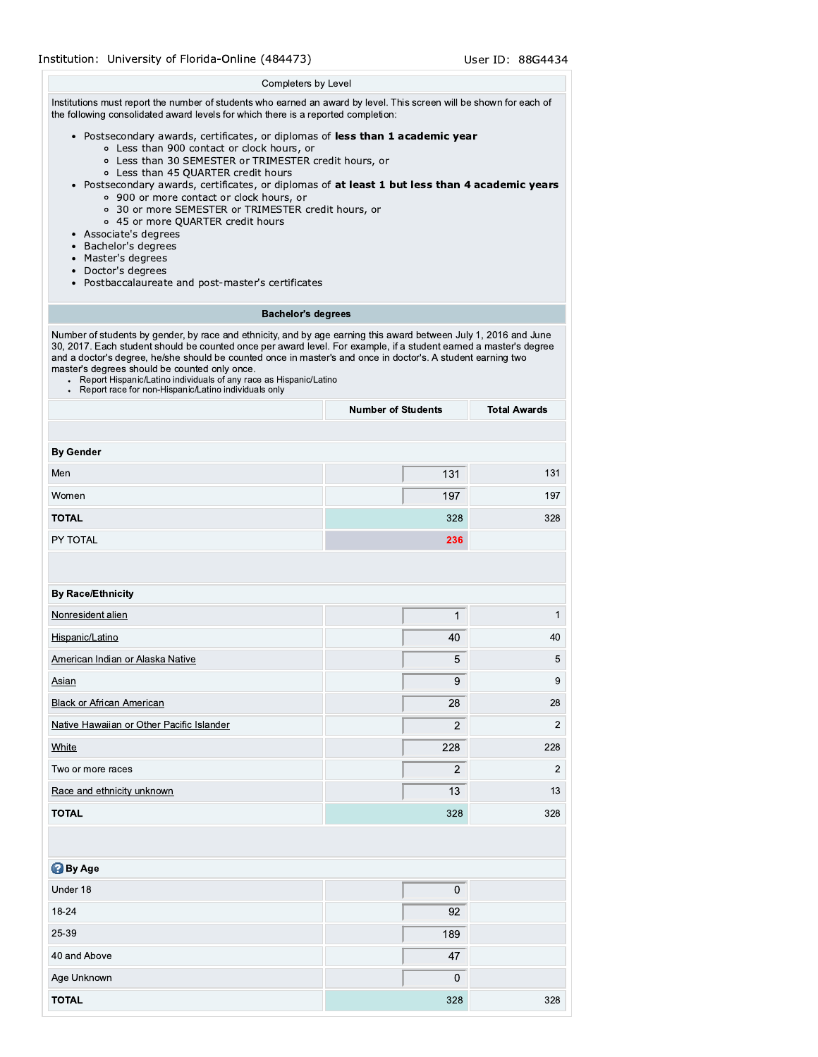## Institution: University of Florida-Online (484473)

#### Completers by Level

Institutions must report the number of students who earned an award by level. This screen will be shown for each of the following consolidated award levels for which there is a reported completion:

#### · Postsecondary awards, certificates, or diplomas of less than 1 academic year

- o Less than 900 contact or clock hours, or
- o Less than 30 SEMESTER or TRIMESTER credit hours, or
- o Less than 45 QUARTER credit hours
- . Postsecondary awards, certificates, or diplomas of at least 1 but less than 4 academic years ○ 900 or more contact or clock hours, or
	- o 30 or more SEMESTER or TRIMESTER credit hours, or
	- o 45 or more QUARTER credit hours
- Associate's degrees
- Bachelor's degrees
- Master's degrees
- Doctor's degrees
- Postbaccalaureate and post-master's certificates

## **Bachelor's degrees**

Number of students by gender, by race and ethnicity, and by age earning this award between July 1, 2016 and June 30, 2017. Each student should be counted once per award level. For example, if a student earned a master's degree and a doctor's degree, he/she should be counted once in master's and once in doctor's. A student earning two master's degrees should be counted only once.

- Report Hispanic/Latino individuals of any race as Hispanic/Latino
- Report race for non-Hispanic/Latino individuals only

|                                           | <b>Number of Students</b> | <b>Total Awards</b> |  |
|-------------------------------------------|---------------------------|---------------------|--|
|                                           |                           |                     |  |
| <b>By Gender</b>                          |                           |                     |  |
| Men                                       | 131                       | 131                 |  |
| Women                                     | 197                       | 197                 |  |
| <b>TOTAL</b>                              | 328                       | 328                 |  |
| PY TOTAL                                  | 236                       |                     |  |
|                                           |                           |                     |  |
| <b>By Race/Ethnicity</b>                  |                           |                     |  |
| Nonresident alien                         | $\mathbf 1$               | $\mathbf{1}$        |  |
| Hispanic/Latino                           | 40                        | 40                  |  |
| American Indian or Alaska Native          | 5                         | 5                   |  |
| Asian                                     | 9                         | 9                   |  |
| <b>Black or African American</b>          | 28                        | 28                  |  |
| Native Hawaiian or Other Pacific Islander | $\mathbf 2$               | $\sqrt{2}$          |  |
| White                                     | 228                       | 228                 |  |
| Two or more races                         | $\mathbf 2$               | $\overline{c}$      |  |
| Race and ethnicity unknown                | 13                        | 13                  |  |
| <b>TOTAL</b>                              | 328                       | 328                 |  |
|                                           |                           |                     |  |
| <b>By Age</b>                             |                           |                     |  |
| Under 18                                  | 0                         |                     |  |
| 18-24                                     | 92                        |                     |  |
| 25-39                                     | 189                       |                     |  |
| 40 and Above                              | 47                        |                     |  |
| Age Unknown                               | 0                         |                     |  |
| <b>TOTAL</b>                              | 328                       | 328                 |  |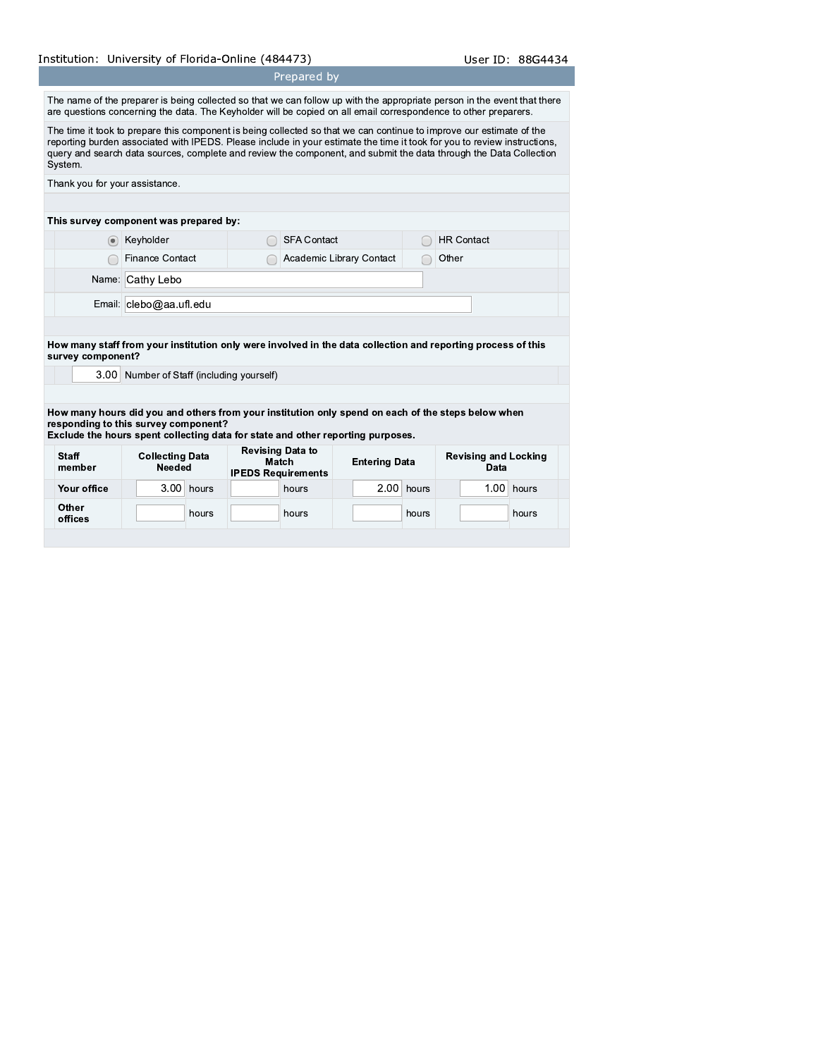# Institution: University of Florida-Online (484473)

The name of the preparer is being collected so that we can follow up with the appropriate person in the event that there are questions concerning the data. The Keyholder will be copied on all email correspondence to other preparers.

Prepared by

The time it took to prepare this component is being collected so that we can continue to improve our estimate of the reporting burden associated with IPEDS. Please include in your estimate the time it took for you to revie query and search data sources, complete and review the component, and submit the data through the Data Collection System.

| Thank you for your assistance. |                                        |                          |                   |
|--------------------------------|----------------------------------------|--------------------------|-------------------|
|                                | This survey component was prepared by: |                          |                   |
|                                |                                        |                          |                   |
| $\left( \bullet \right)$       | Keyholder                              | <b>SFA Contact</b>       | <b>HR Contact</b> |
|                                | <b>Finance Contact</b>                 | Academic Library Contact | Other             |
|                                | Name: Cathy Lebo                       |                          |                   |
|                                | Email: clebo@aa ufl.edu                |                          |                   |

How many staff from your institution only were involved in the data collection and reporting process of this survey component?

3.00 Number of Staff (including yourself)

How many hours did you and others from your institution only spend on each of the steps below when responding to this survey component?

Exclude the hours spent collecting data for state and other reporting purposes.

| <b>Staff</b><br>member | <b>Collecting Data</b><br>Needed |      | <b>Revising Data to</b><br>Match<br><b>IPEDS Requirements</b> |  | <b>Entering Data</b> |  |      | <b>Revising and Locking</b><br>Data |  |  |              |  |
|------------------------|----------------------------------|------|---------------------------------------------------------------|--|----------------------|--|------|-------------------------------------|--|--|--------------|--|
| Your office            |                                  | 3.00 | hours                                                         |  | hours                |  | 2.00 | hours                               |  |  | $1.00$ hours |  |
| Other<br>offices       |                                  |      | hours                                                         |  | hours                |  |      | hours                               |  |  | hours        |  |
|                        |                                  |      |                                                               |  |                      |  |      |                                     |  |  |              |  |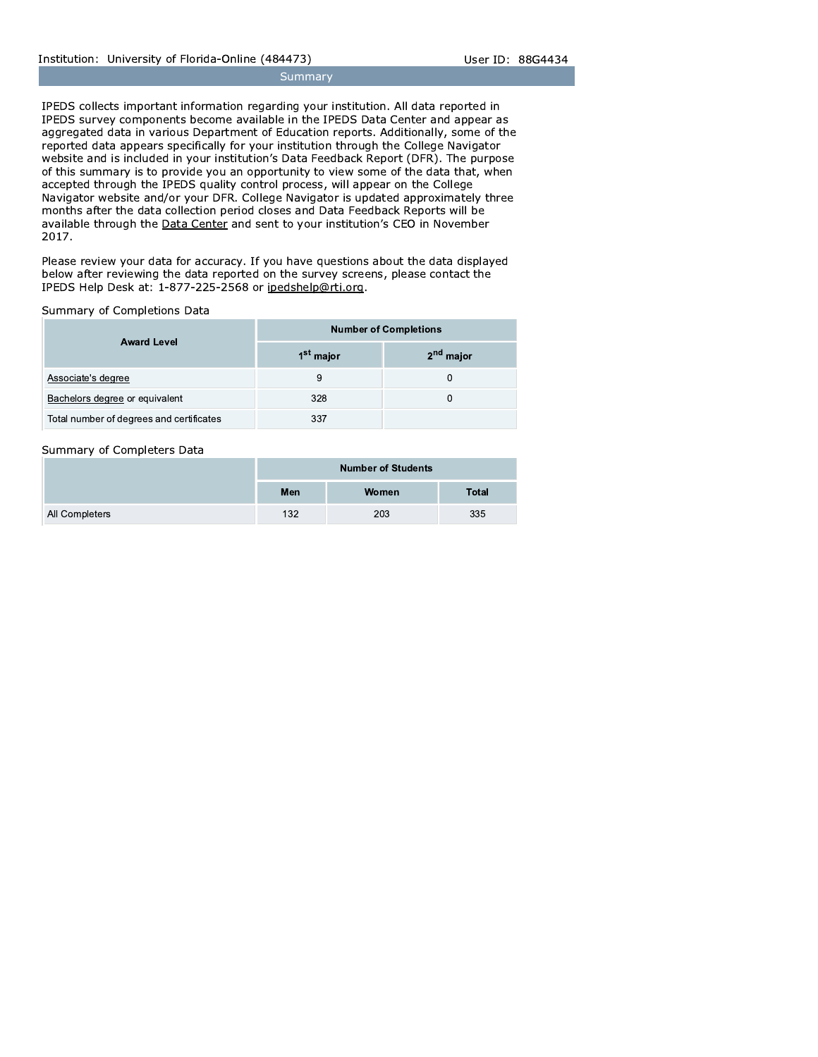Summary

IPEDS collects important information regarding your institution. All data reported in IPEDS survey components become available in the IPEDS Data Center and appear as aggregated data in various Department of Education reports. Additionally, some of the reported data appears specifically for your institution through the College Navigator website and is included in your institution's Data Feedback Report (DFR). The purpose of this summary is to provide you an opportunity to view some of the data that, when accepted through the IPEDS quality control process, will appear on the College Navigator website and/or your DFR. College Navigator is updated approximately three months after the data collection period closes and Data Feedback Reports will be available through the Data Center and sent to your institution's CEO in November 2017.

Please review your data for accuracy. If you have questions about the data displayed below after reviewing the data reported on the survey screens, please contact the IPEDS Help Desk at: 1-877-225-2568 or ipedshelp@rti.org.

## Summary of Completions Data

|                                          | <b>Number of Completions</b> |                       |  |  |  |  |
|------------------------------------------|------------------------------|-----------------------|--|--|--|--|
| <b>Award Level</b>                       | 1 <sup>st</sup> major        | 2 <sup>nd</sup> major |  |  |  |  |
| Associate's degree                       | 9                            | 0                     |  |  |  |  |
| Bachelors degree or equivalent           | 328                          | 0                     |  |  |  |  |
| Total number of degrees and certificates | 337                          |                       |  |  |  |  |

## Summary of Completers Data

|                |     | <b>Number of Students</b> |              |
|----------------|-----|---------------------------|--------------|
|                | Men | Women                     | <b>Total</b> |
| All Completers | 132 | 203                       | 335          |